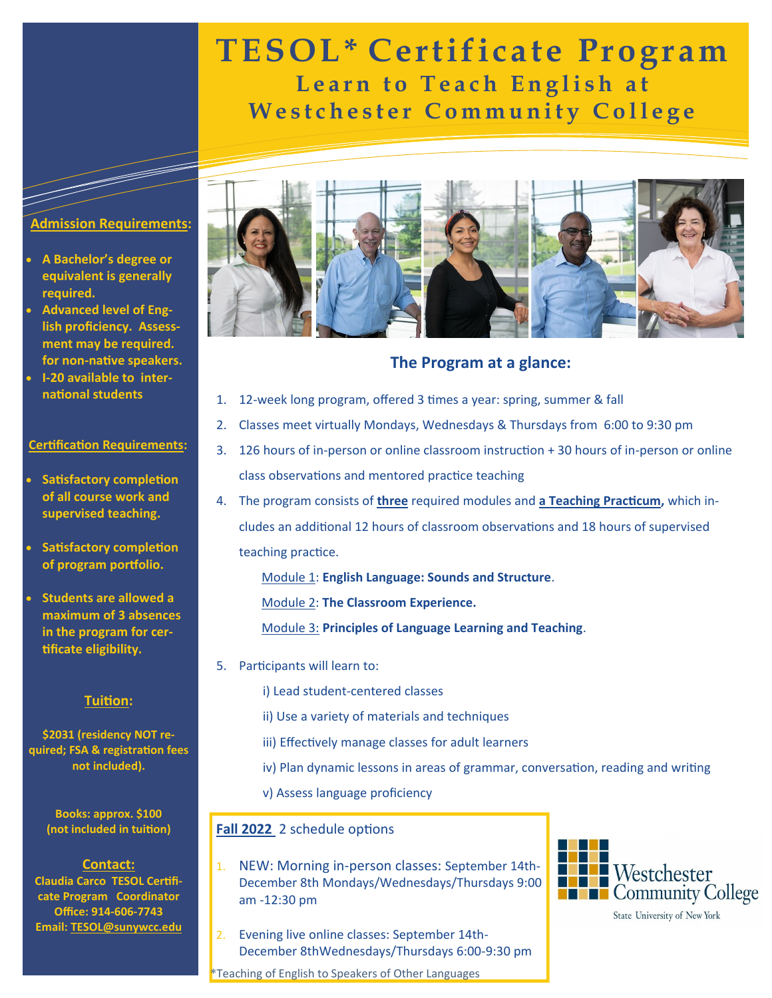# **TESOL\* Certificate Program Learn to Teach English at Westchester Community College**

### **Admission Requirements:**

- **A Bachelor's degree or equivalent is generally required.**
- **Advanced level of English proficiency. Assessment may be required. for non-native speakers.**
- **I-20 available to international students**

#### **Certification Requirements:**

- **Satisfactory completion of all course work and supervised teaching.**
- **Satisfactory completion of program portfolio.**
- **Students are allowed a maximum of 3 absences in the program for certificate eligibility.**

#### **Tuition:**

**\$2031 (residency NOT required; FSA & registration fees not included).**

> **Books: approx. \$100 (not included in tuition)**

### **Contact:**

**Claudia Carco TESOL Certificate Program Coordinator Office: 914-606-7743 Email: TESOL@sunywcc.edu**



## **The Program at a glance:**

- 1. 12-week long program, offered 3 times a year: spring, summer & fall
- 2. Classes meet virtually Mondays, Wednesdays & Thursdays from 6:00 to 9:30 pm
- 3. 126 hours of in-person or online classroom instruction + 30 hours of in-person or online class observations and mentored practice teaching
- 4. The program consists of **three** required modules and **a Teaching Practicum,** which includes an additional 12 hours of classroom observations and 18 hours of supervised teaching practice.

Module 1: **English Language: Sounds and Structure**.

Module 2: **The Classroom Experience.**

Module 3: **Principles of Language Learning and Teaching**.

5. Participants will learn to:

i) Lead student-centered classes

- ii) Use a variety of materials and techniques
- iii) Effectively manage classes for adult learners
- iv) Plan dynamic lessons in areas of grammar, conversation, reading and writing
- v) Assess language proficiency

### **Fall 2022** 2 schedule options

- 1. NEW: Morning in-person classes: September 14th-December 8th Mondays/Wednesdays/Thursdays 9:00 am -12:30 pm
- 2. Evening live online classes: September 14th-December 8thWednesdays/Thursdays 6:00-9:30 pm

\*Teaching of English to Speakers of Other Languages



State University of New York